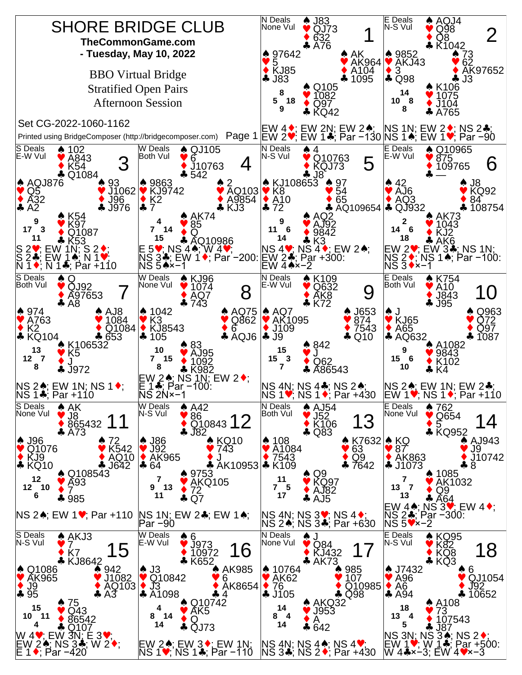